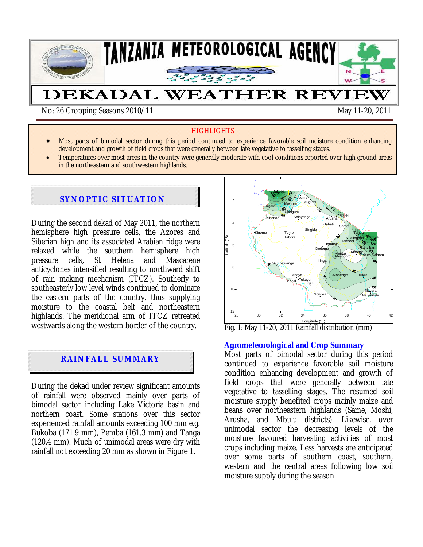

\*

## **HIGHLIGHTS**

- Most parts of bimodal sector during this period continued to experience favorable soil moisture condition enhancing development and growth of field crops that were generally between late vegetative to tasselling stages.
- Temperatures over most areas in the country were generally moderate with cool conditions reported over high ground areas in the northeastern and southwestern highlands.

# **SYNOPTIC SITUATION**

During the second dekad of May 2011, the northern hemisphere high pressure cells, the Azores and Siberian high and its associated Arabian ridge were relaxed while the southern hemisphere high pressure cells, St Helena and Mascarene anticyclones intensified resulting to northward shift of rain making mechanism (ITCZ). Southerly to southeasterly low level winds continued to dominate the eastern parts of the country, thus supplying moisture to the coastal belt and northeastern highlands. The meridional arm of ITCZ retreated westwards along the western border of the country.

## **RAINFALL SUMMARY**

During the dekad under review significant amounts of rainfall were observed mainly over parts of bimodal sector including Lake Victoria basin and northern coast. Some stations over this sector experienced rainfall amounts exceeding 100 mm e.g. Bukoba (171.9 mm), Pemba (161.3 mm) and Tanga (120.4 mm). Much of unimodal areas were dry with rainfall not exceeding 20 mm as shown in Figure 1.



Longitude (°E)<br>Fig. 1: May 11-20, 2011 Rainfall distribution (mm)

#### **Agrometeorological and Crop Summary**

Most parts of bimodal sector during this period continued to experience favorable soil moisture condition enhancing development and growth of field crops that were generally between late vegetative to tasselling stages. The resumed soil moisture supply benefited crops mainly maize and beans over northeastern highlands (Same, Moshi, Arusha, and Mbulu districts). Likewise, over unimodal sector the decreasing levels of the moisture favoured harvesting activities of most crops including maize. Less harvests are anticipated over some parts of southern coast, southern, western and the central areas following low soil moisture supply during the season.